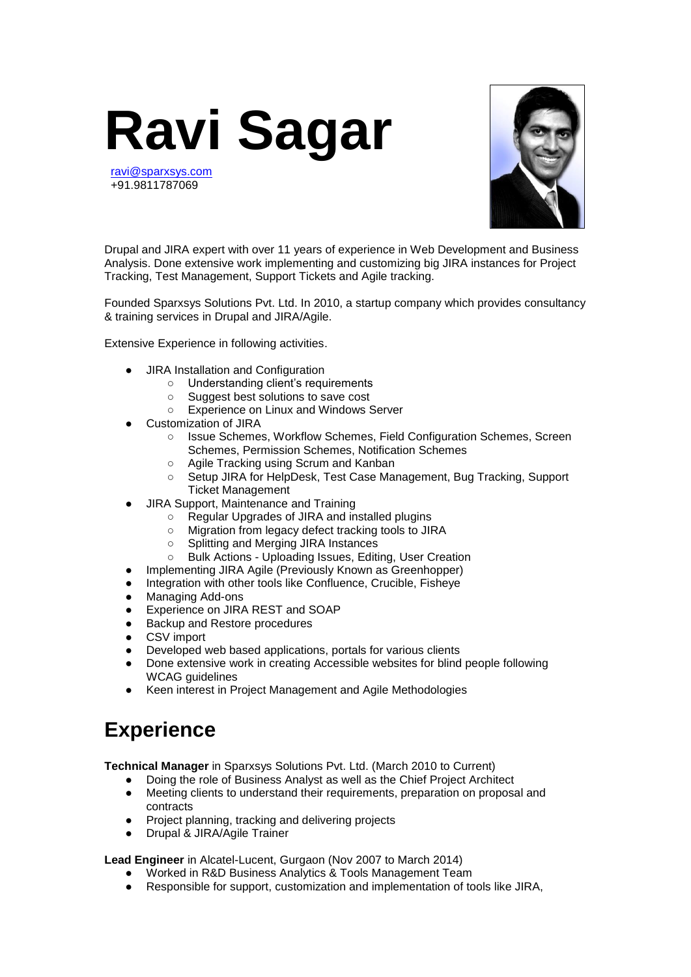

[ravi@sparxsys.com](mailto:ravi@sparxsys.com) +91.9811787069



Drupal and JIRA expert with over 11 years of experience in Web Development and Business Analysis. Done extensive work implementing and customizing big JIRA instances for Project Tracking, Test Management, Support Tickets and Agile tracking.

Founded Sparxsys Solutions Pvt. Ltd. In 2010, a startup company which provides consultancy & training services in Drupal and JIRA/Agile.

Extensive Experience in following activities.

- **JIRA Installation and Configuration** 
	-
	- Understanding client's requirements<br>○ Suggest best solutions to save cost
	- Suggest best solutions to save cost<br>○ Experience on Linux and Windows S Experience on Linux and Windows Server
- Customization of JIRA
	- Issue Schemes, Workflow Schemes, Field Configuration Schemes, Screen Schemes, Permission Schemes, Notification Schemes
	- Agile Tracking using Scrum and Kanban
	- Setup JIRA for HelpDesk, Test Case Management, Bug Tracking, Support Ticket Management
- JIRA Support, Maintenance and Training
	- Regular Upgrades of JIRA and installed plugins
	- Migration from legacy defect tracking tools to JIRA
	- Splitting and Merging JIRA Instances
	- Bulk Actions Uploading Issues, Editing, User Creation
- Implementing JIRA Agile (Previously Known as Greenhopper)
- Integration with other tools like Confluence, Crucible, Fisheye
- Managing Add-ons
- Experience on JIRA REST and SOAP
- **Backup and Restore procedures**
- CSV import
- Developed web based applications, portals for various clients
- Done extensive work in creating Accessible websites for blind people following WCAG guidelines
- Keen interest in Project Management and Agile Methodologies

## **Experience**

**Technical Manager** in Sparxsys Solutions Pvt. Ltd. (March 2010 to Current)

- Doing the role of Business Analyst as well as the Chief Project Architect
- Meeting clients to understand their requirements, preparation on proposal and contracts
- Project planning, tracking and delivering projects
- **Drupal & JIRA/Agile Trainer**

**Lead Engineer** in Alcatel-Lucent, Gurgaon (Nov 2007 to March 2014)

- Worked in R&D Business Analytics & Tools Management Team
- Responsible for support, customization and implementation of tools like JIRA,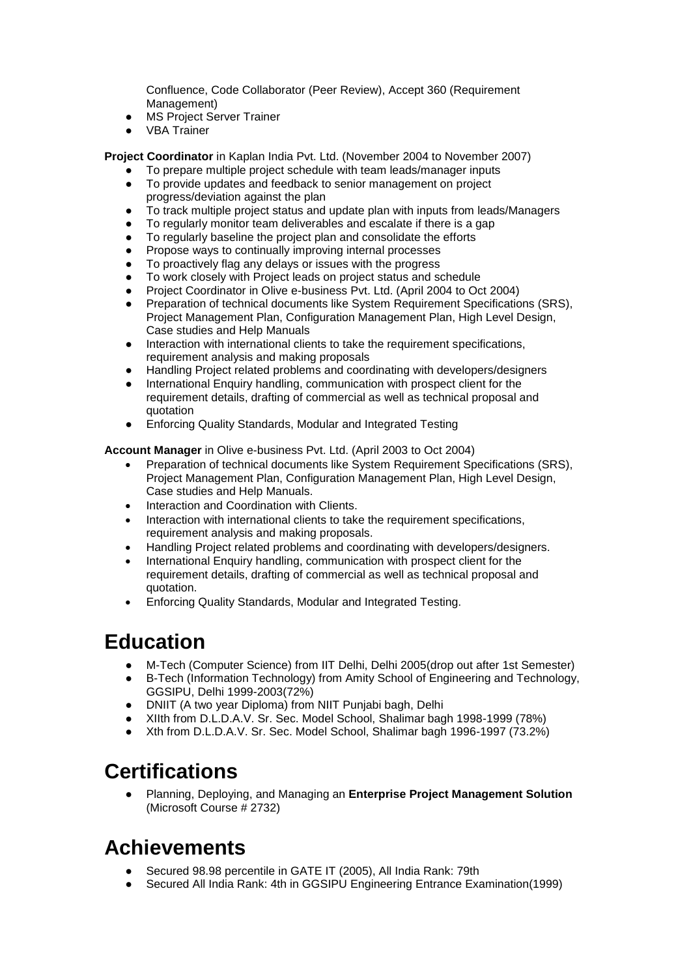Confluence, Code Collaborator (Peer Review), Accept 360 (Requirement Management)

- **MS Project Server Trainer**
- **VBA Trainer**

**Project Coordinator** in Kaplan India Pvt. Ltd. (November 2004 to November 2007)

- To prepare multiple project schedule with team leads/manager inputs
- To provide updates and feedback to senior management on project progress/deviation against the plan
- To track multiple project status and update plan with inputs from leads/Managers
- To regularly monitor team deliverables and escalate if there is a gap
- To regularly baseline the project plan and consolidate the efforts
- Propose ways to continually improving internal processes
- To proactively flag any delays or issues with the progress
- To work closely with Project leads on project status and schedule
- Project Coordinator in Olive e-business Pvt. Ltd. (April 2004 to Oct 2004)
- Preparation of technical documents like System Requirement Specifications (SRS), Project Management Plan, Configuration Management Plan, High Level Design, Case studies and Help Manuals
- Interaction with international clients to take the requirement specifications, requirement analysis and making proposals
- Handling Project related problems and coordinating with developers/designers
- International Enquiry handling, communication with prospect client for the requirement details, drafting of commercial as well as technical proposal and quotation
- Enforcing Quality Standards, Modular and Integrated Testing

**Account Manager** in Olive e-business Pvt. Ltd. (April 2003 to Oct 2004)

- Preparation of technical documents like System Requirement Specifications (SRS), Project Management Plan, Configuration Management Plan, High Level Design, Case studies and Help Manuals.
- Interaction and Coordination with Clients.
- Interaction with international clients to take the requirement specifications, requirement analysis and making proposals.
- Handling Project related problems and coordinating with developers/designers.
- International Enquiry handling, communication with prospect client for the requirement details, drafting of commercial as well as technical proposal and quotation.
- Enforcing Quality Standards, Modular and Integrated Testing.

## **Education**

- M-Tech (Computer Science) from IIT Delhi, Delhi 2005(drop out after 1st Semester)
- B-Tech (Information Technology) from Amity School of Engineering and Technology, GGSIPU, Delhi 1999-2003(72%)
- DNIIT (A two year Diploma) from NIIT Punjabi bagh, Delhi
- XIIth from D.L.D.A.V. Sr. Sec. Model School, Shalimar bagh 1998-1999 (78%)
- Xth from D.L.D.A.V. Sr. Sec. Model School, Shalimar bagh 1996-1997 (73.2%)

## **Certifications**

● Planning, Deploying, and Managing an **Enterprise Project Management Solution** (Microsoft Course # 2732)

## **Achievements**

- Secured 98.98 percentile in GATE IT (2005), All India Rank: 79th
- Secured All India Rank: 4th in GGSIPU Engineering Entrance Examination(1999)